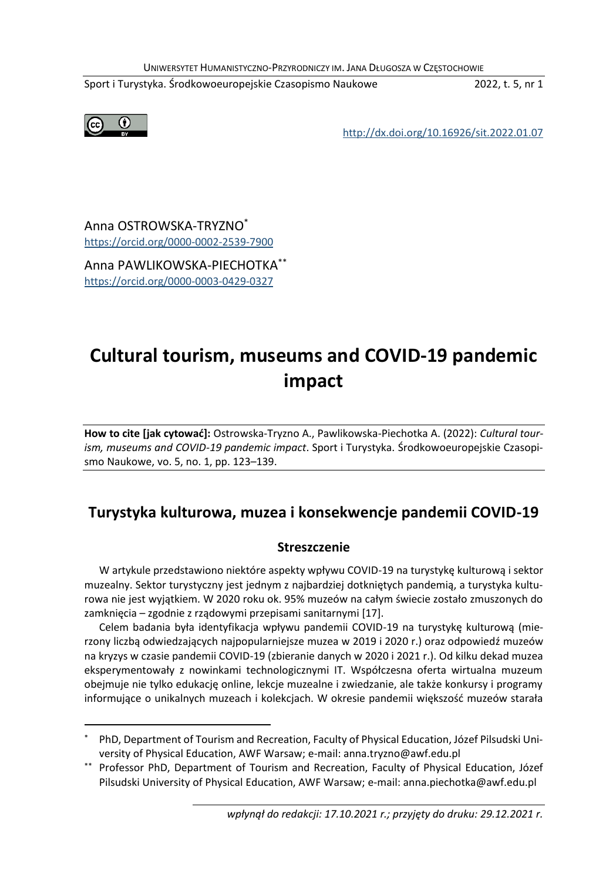Sport i Turystyka. Środkowoeuropejskie Czasopismo Naukowe 2022, t. 5, nr 1



<http://dx.doi.org/10.16926/sit.2022.01.07>

Anna OSTROWSKA-TRYZNO\* <https://orcid.org/0000-0002-2539-7900>

Anna PAWLIKOWSKA-PIECHOTKA\*\* <https://orcid.org/0000-0003-0429-0327>

# **Cultural tourism, museums and COVID-19 pandemic impact**

**How to cite [jak cytować]:** Ostrowska-Tryzno A., Pawlikowska-Piechotka A. (2022): *Cultural tourism, museums and COVID-19 pandemic impact*. Sport i Turystyka. Środkowoeuropejskie Czasopismo Naukowe, vo. 5, no. 1, pp. 123–139.

## **Turystyka kulturowa, muzea i konsekwencje pandemii COVID-19**

#### **Streszczenie**

W artykule przedstawiono niektóre aspekty wpływu COVID-19 na turystykę kulturową i sektor muzealny. Sektor turystyczny jest jednym z najbardziej dotkniętych pandemią, a turystyka kulturowa nie jest wyjątkiem. W 2020 roku ok. 95% muzeów na całym świecie zostało zmuszonych do zamknięcia – zgodnie z rządowymi przepisami sanitarnymi [17].

Celem badania była identyfikacja wpływu pandemii COVID-19 na turystykę kulturową (mierzony liczbą odwiedzających najpopularniejsze muzea w 2019 i 2020 r.) oraz odpowiedź muzeów na kryzys w czasie pandemii COVID-19 (zbieranie danych w 2020 i 2021 r.). Od kilku dekad muzea eksperymentowały z nowinkami technologicznymi IT. Współczesna oferta wirtualna muzeum obejmuje nie tylko edukację online, lekcje muzealne i zwiedzanie, ale także konkursy i programy informujące o unikalnych muzeach i kolekcjach. W okresie pandemii większość muzeów starała

PhD, Department of Tourism and Recreation, Faculty of Physical Education, Józef Pilsudski University of Physical Education, AWF Warsaw; e-mail: anna.tryzno@awf.edu.pl

<sup>\*\*</sup> Professor PhD, Department of Tourism and Recreation, Faculty of Physical Education, Józef Pilsudski University of Physical Education, AWF Warsaw; e-mail: anna.piechotka@awf.edu.pl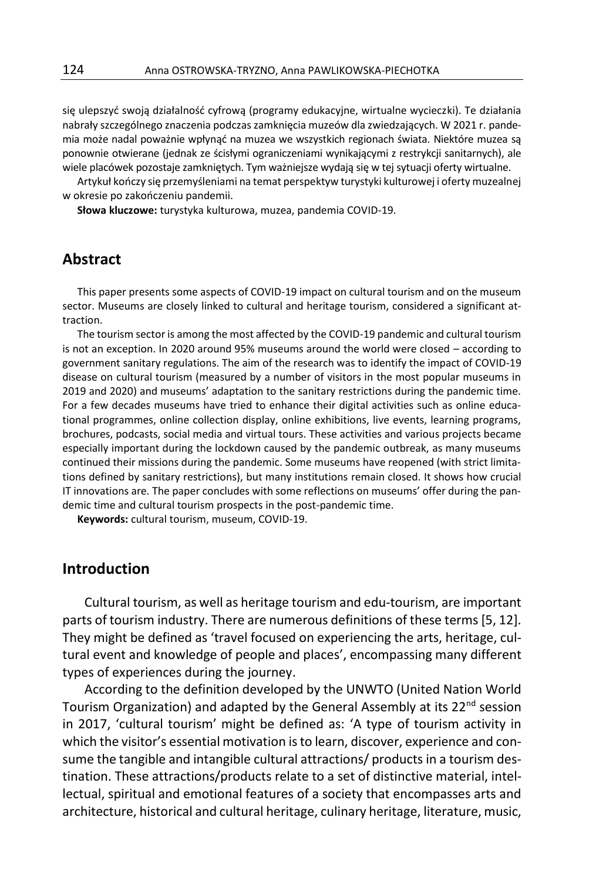się ulepszyć swoją działalność cyfrową (programy edukacyjne, wirtualne wycieczki). Te działania nabrały szczególnego znaczenia podczas zamknięcia muzeów dla zwiedzających. W 2021 r. pandemia może nadal poważnie wpłynąć na muzea we wszystkich regionach świata. Niektóre muzea są ponownie otwierane (jednak ze ścisłymi ograniczeniami wynikającymi z restrykcji sanitarnych), ale wiele placówek pozostaje zamkniętych. Tym ważniejsze wydają się w tej sytuacji oferty wirtualne.

Artykuł kończy się przemyśleniami na temat perspektyw turystyki kulturowej i oferty muzealnej w okresie po zakończeniu pandemii.

**Słowa kluczowe:** turystyka kulturowa, muzea, pandemia COVID-19.

### **Abstract**

This paper presents some aspects of COVID-19 impact on cultural tourism and on the museum sector. Museums are closely linked to cultural and heritage tourism, considered a significant attraction.

The tourism sector is among the most affected by the COVID-19 pandemic and cultural tourism is not an exception. In 2020 around 95% museums around the world were closed – according to government sanitary regulations. The aim of the research was to identify the impact of COVID-19 disease on cultural tourism (measured by a number of visitors in the most popular museums in 2019 and 2020) and museums' adaptation to the sanitary restrictions during the pandemic time. For a few decades museums have tried to enhance their digital activities such as online educational programmes, online collection display, online exhibitions, live events, learning programs, brochures, podcasts, social media and virtual tours. These activities and various projects became especially important during the lockdown caused by the pandemic outbreak, as many museums continued their missions during the pandemic. Some museums have reopened (with strict limitations defined by sanitary restrictions), but many institutions remain closed. It shows how crucial IT innovations are. The paper concludes with some reflections on museums' offer during the pandemic time and cultural tourism prospects in the post-pandemic time.

**Keywords:** cultural tourism, museum, COVID-19.

## **Introduction**

Cultural tourism, as well as heritage tourism and edu-tourism, are important parts of tourism industry. There are numerous definitions of these terms [5, 12]. They might be defined as 'travel focused on experiencing the arts, heritage, cultural event and knowledge of people and places', encompassing many different types of experiences during the journey.

According to the definition developed by the UNWTO (United Nation World Tourism Organization) and adapted by the General Assembly at its  $22<sup>nd</sup>$  session in 2017, 'cultural tourism' might be defined as: 'A type of tourism activity in which the visitor's essential motivation is to learn, discover, experience and consume the tangible and intangible cultural attractions/ products in a tourism destination. These attractions/products relate to a set of distinctive material, intellectual, spiritual and emotional features of a society that encompasses arts and architecture, historical and cultural heritage, culinary heritage, literature, music,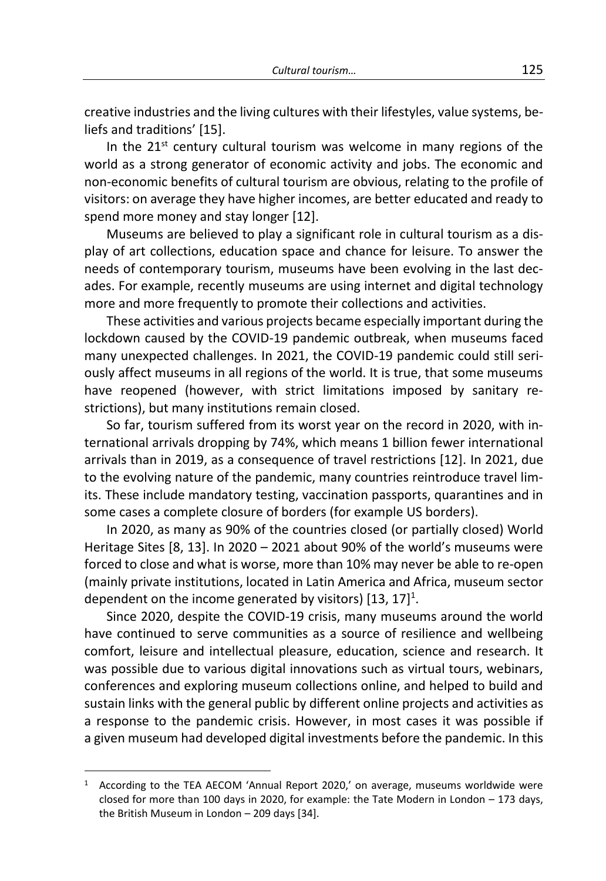creative industries and the living cultures with their lifestyles, value systems, beliefs and traditions' [15].

In the  $21<sup>st</sup>$  century cultural tourism was welcome in many regions of the world as a strong generator of economic activity and jobs. The economic and non-economic benefits of cultural tourism are obvious, relating to the profile of visitors: on average they have higher incomes, are better educated and ready to spend more money and stay longer [12].

Museums are believed to play a significant role in cultural tourism as a display of art collections, education space and chance for leisure. To answer the needs of contemporary tourism, museums have been evolving in the last decades. For example, recently museums are using internet and digital technology more and more frequently to promote their collections and activities.

These activities and various projects became especially important during the lockdown caused by the COVID-19 pandemic outbreak, when museums faced many unexpected challenges. In 2021, the COVID-19 pandemic could still seriously affect museums in all regions of the world. It is true, that some museums have reopened (however, with strict limitations imposed by sanitary restrictions), but many institutions remain closed.

So far, tourism suffered from its worst year on the record in 2020, with international arrivals dropping by 74%, which means 1 billion fewer international arrivals than in 2019, as a consequence of travel restrictions [12]. In 2021, due to the evolving nature of the pandemic, many countries reintroduce travel limits. These include mandatory testing, vaccination passports, quarantines and in some cases a complete closure of borders (for example US borders).

In 2020, as many as 90% of the countries closed (or partially closed) World Heritage Sites [8, 13]. In 2020 – 2021 about 90% of the world's museums were forced to close and what is worse, more than 10% may never be able to re-open (mainly private institutions, located in Latin America and Africa, museum sector dependent on the income generated by visitors)  $[13, 17]$ <sup>1</sup>.

Since 2020, despite the COVID-19 crisis, many museums around the world have continued to serve communities as a source of resilience and wellbeing comfort, leisure and intellectual pleasure, education, science and research. It was possible due to various digital innovations such as virtual tours, webinars, conferences and exploring museum collections online, and helped to build and sustain links with the general public by different online projects and activities as a response to the pandemic crisis. However, in most cases it was possible if a given museum had developed digital investments before the pandemic. In this

<sup>1</sup> According to the TEA AECOM 'Annual Report 2020,' on average, museums worldwide were closed for more than 100 days in 2020, for example: the Tate Modern in London – 173 days, the British Museum in London – 209 days [34].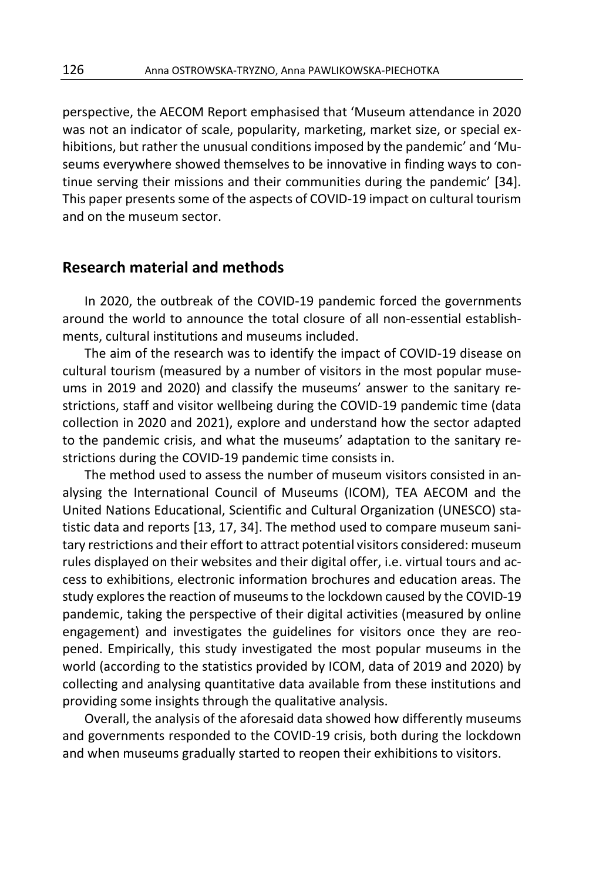perspective, the AECOM Report emphasised that 'Museum attendance in 2020 was not an indicator of scale, popularity, marketing, market size, or special exhibitions, but rather the unusual conditions imposed by the pandemic' and 'Museums everywhere showed themselves to be innovative in finding ways to continue serving their missions and their communities during the pandemic' [34]. This paper presents some of the aspects of COVID-19 impact on cultural tourism and on the museum sector.

#### **Research material and methods**

In 2020, the outbreak of the COVID-19 pandemic forced the governments around the world to announce the total closure of all non-essential establishments, cultural institutions and museums included.

The aim of the research was to identify the impact of COVID-19 disease on cultural tourism (measured by a number of visitors in the most popular museums in 2019 and 2020) and classify the museums' answer to the sanitary restrictions, staff and visitor wellbeing during the COVID-19 pandemic time (data collection in 2020 and 2021), explore and understand how the sector adapted to the pandemic crisis, and what the museums' adaptation to the sanitary restrictions during the COVID-19 pandemic time consists in.

The method used to assess the number of museum visitors consisted in analysing the International Council of Museums (ICOM), TEA AECOM and the United Nations Educational, Scientific and Cultural Organization (UNESCO) statistic data and reports [13, 17, 34]. The method used to compare museum sanitary restrictions and their effort to attract potential visitors considered: museum rules displayed on their websites and their digital offer, i.e. virtual tours and access to exhibitions, electronic information brochures and education areas. The study explores the reaction of museums to the lockdown caused by the COVID-19 pandemic, taking the perspective of their digital activities (measured by online engagement) and investigates the guidelines for visitors once they are reopened. Empirically, this study investigated the most popular museums in the world (according to the statistics provided by ICOM, data of 2019 and 2020) by collecting and analysing quantitative data available from these institutions and providing some insights through the qualitative analysis.

Overall, the analysis of the aforesaid data showed how differently museums and governments responded to the COVID-19 crisis, both during the lockdown and when museums gradually started to reopen their exhibitions to visitors.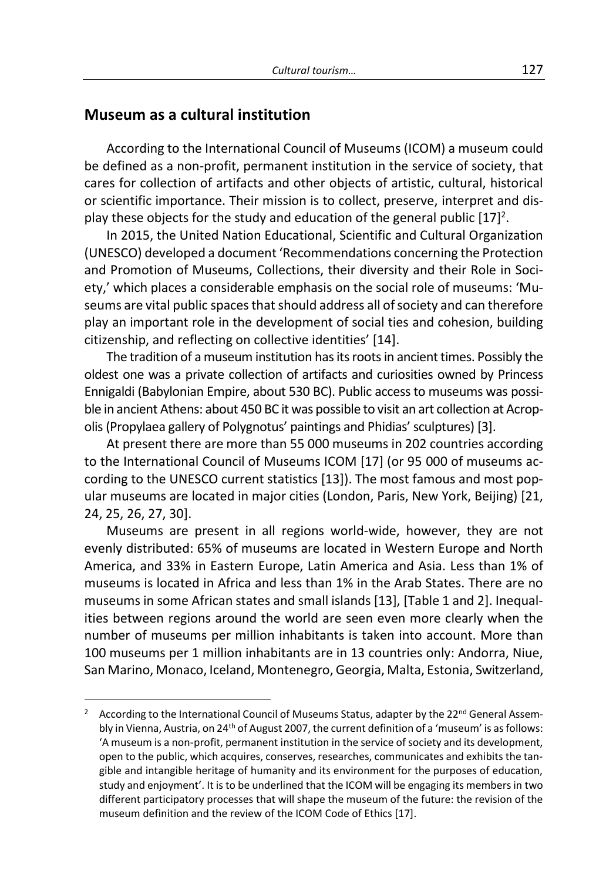### **Museum as a cultural institution**

According to the International Council of Museums (ICOM) a museum could be defined as a non-profit, permanent institution in the service of society, that cares for collection of artifacts and other objects of artistic, cultural, historical or scientific importance. Their mission is to collect, preserve, interpret and display these objects for the study and education of the general public  $[17]^2$ .

In 2015, the United Nation Educational, Scientific and Cultural Organization (UNESCO) developed a document 'Recommendations concerning the Protection and Promotion of Museums, Collections, their diversity and their Role in Society,' which places a considerable emphasis on the social role of museums: 'Museums are vital public spaces that should address all of society and can therefore play an important role in the development of social ties and cohesion, building citizenship, and reflecting on collective identities' [14].

The tradition of a museum institution has its roots in ancient times. Possibly the oldest one was a private collection of artifacts and curiosities owned by Princess Ennigaldi (Babylonian Empire, about 530 BC). Public access to museums was possible in ancient Athens: about 450 BC it was possible to visit an art collection at Acropolis (Propylaea gallery of Polygnotus' paintings and Phidias' sculptures) [3].

At present there are more than 55 000 museums in 202 countries according to the International Council of Museums ICOM [17] (or 95 000 of museums according to the UNESCO current statistics [13]). The most famous and most popular museums are located in major cities (London, Paris, New York, Beijing) [21, 24, 25, 26, 27, 30].

Museums are present in all regions world-wide, however, they are not evenly distributed: 65% of museums are located in Western Europe and North America, and 33% in Eastern Europe, Latin America and Asia. Less than 1% of museums is located in Africa and less than 1% in the Arab States. There are no museums in some African states and small islands [13], [Table 1 and 2]. Inequalities between regions around the world are seen even more clearly when the number of museums per million inhabitants is taken into account. More than 100 museums per 1 million inhabitants are in 13 countries only: Andorra, Niue, San Marino, Monaco, Iceland, Montenegro, Georgia, Malta, Estonia, Switzerland,

<sup>&</sup>lt;sup>2</sup> According to the International Council of Museums Status, adapter by the 22<sup>nd</sup> General Assembly in Vienna, Austria, on 24<sup>th</sup> of August 2007, the current definition of a 'museum' is as follows: 'A museum is a non-profit, permanent institution in the service of society and its development, open to the public, which acquires, conserves, researches, communicates and exhibits the tangible and intangible heritage of humanity and its environment for the purposes of education, study and enjoyment'. It is to be underlined that the ICOM will be engaging its members in two different participatory processes that will shape the museum of the future: the revision of the museum definition and the review of the ICOM Code of Ethics [17].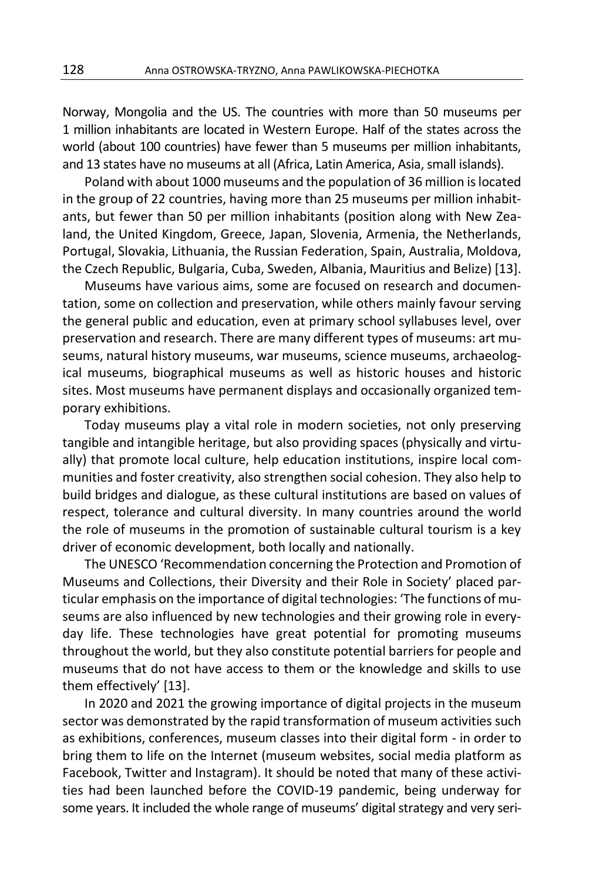Norway, Mongolia and the US. The countries with more than 50 museums per 1 million inhabitants are located in Western Europe. Half of the states across the world (about 100 countries) have fewer than 5 museums per million inhabitants, and 13 states have no museums at all (Africa, Latin America, Asia, small islands).

Poland with about 1000 museums and the population of 36 million is located in the group of 22 countries, having more than 25 museums per million inhabitants, but fewer than 50 per million inhabitants (position along with New Zealand, the United Kingdom, Greece, Japan, Slovenia, Armenia, the Netherlands, Portugal, Slovakia, Lithuania, the Russian Federation, Spain, Australia, Moldova, the Czech Republic, Bulgaria, Cuba, Sweden, Albania, Mauritius and Belize) [13].

Museums have various aims, some are focused on research and documentation, some on collection and preservation, while others mainly favour serving the general public and education, even at primary school syllabuses level, over preservation and research. There are many different types of museums: art museums, natural history museums, war museums, science museums, archaeological museums, biographical museums as well as historic houses and historic sites. Most museums have permanent displays and occasionally organized temporary exhibitions.

Today museums play a vital role in modern societies, not only preserving tangible and intangible heritage, but also providing spaces (physically and virtually) that promote local culture, help education institutions, inspire local communities and foster creativity, also strengthen social cohesion. They also help to build bridges and dialogue, as these cultural institutions are based on values of respect, tolerance and cultural diversity. In many countries around the world the role of museums in the promotion of sustainable cultural tourism is a key driver of economic development, both locally and nationally.

The UNESCO 'Recommendation concerning the Protection and Promotion of Museums and Collections, their Diversity and their Role in Society' placed particular emphasis on the importance of digital technologies: 'The functions of museums are also influenced by new technologies and their growing role in everyday life. These technologies have great potential for promoting museums throughout the world, but they also constitute potential barriers for people and museums that do not have access to them or the knowledge and skills to use them effectively' [13].

In 2020 and 2021 the growing importance of digital projects in the museum sector was demonstrated by the rapid transformation of museum activities such as exhibitions, conferences, museum classes into their digital form - in order to bring them to life on the Internet (museum websites, social media platform as Facebook, Twitter and Instagram). It should be noted that many of these activities had been launched before the COVID-19 pandemic, being underway for some years. It included the whole range of museums' digital strategy and very seri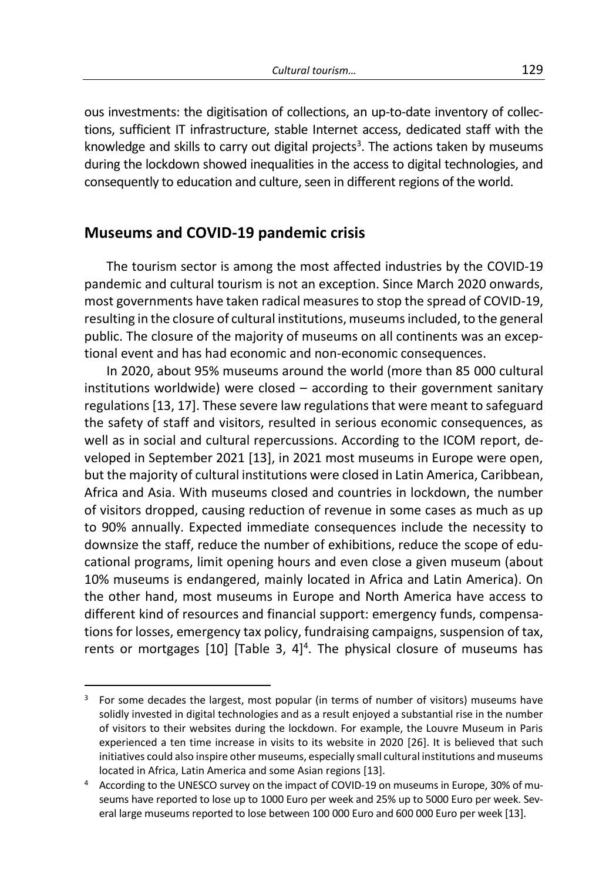ous investments: the digitisation of collections, an up-to-date inventory of collections, sufficient IT infrastructure, stable Internet access, dedicated staff with the knowledge and skills to carry out digital projects<sup>3</sup>. The actions taken by museums during the lockdown showed inequalities in the access to digital technologies, and consequently to education and culture, seen in different regions of the world.

#### **Museums and COVID-19 pandemic crisis**

The tourism sector is among the most affected industries by the COVID-19 pandemic and cultural tourism is not an exception. Since March 2020 onwards, most governments have taken radical measures to stop the spread of COVID-19, resulting in the closure of cultural institutions, museums included, to the general public. The closure of the majority of museums on all continents was an exceptional event and has had economic and non-economic consequences.

In 2020, about 95% museums around the world (more than 85 000 cultural institutions worldwide) were closed – according to their government sanitary regulations [13, 17]. These severe law regulations that were meant to safeguard the safety of staff and visitors, resulted in serious economic consequences, as well as in social and cultural repercussions. According to the ICOM report, developed in September 2021 [13], in 2021 most museums in Europe were open, but the majority of cultural institutions were closed in Latin America, Caribbean, Africa and Asia. With museums closed and countries in lockdown, the number of visitors dropped, causing reduction of revenue in some cases as much as up to 90% annually. Expected immediate consequences include the necessity to downsize the staff, reduce the number of exhibitions, reduce the scope of educational programs, limit opening hours and even close a given museum (about 10% museums is endangered, mainly located in Africa and Latin America). On the other hand, most museums in Europe and North America have access to different kind of resources and financial support: emergency funds, compensations for losses, emergency tax policy, fundraising campaigns, suspension of tax, rents or mortgages  $[10]$  [Table 3, 4]<sup>4</sup>. The physical closure of museums has

 $3$  For some decades the largest, most popular (in terms of number of visitors) museums have solidly invested in digital technologies and as a result enjoyed a substantial rise in the number of visitors to their websites during the lockdown. For example, the Louvre Museum in Paris experienced a ten time increase in visits to its website in 2020 [26]. It is believed that such initiatives could also inspire other museums, especially small cultural institutions and museums located in Africa, Latin America and some Asian regions [13].

<sup>4</sup> According to the UNESCO survey on the impact of COVID-19 on museums in Europe, 30% of museums have reported to lose up to 1000 Euro per week and 25% up to 5000 Euro per week. Several large museums reported to lose between 100 000 Euro and 600 000 Euro per week [13].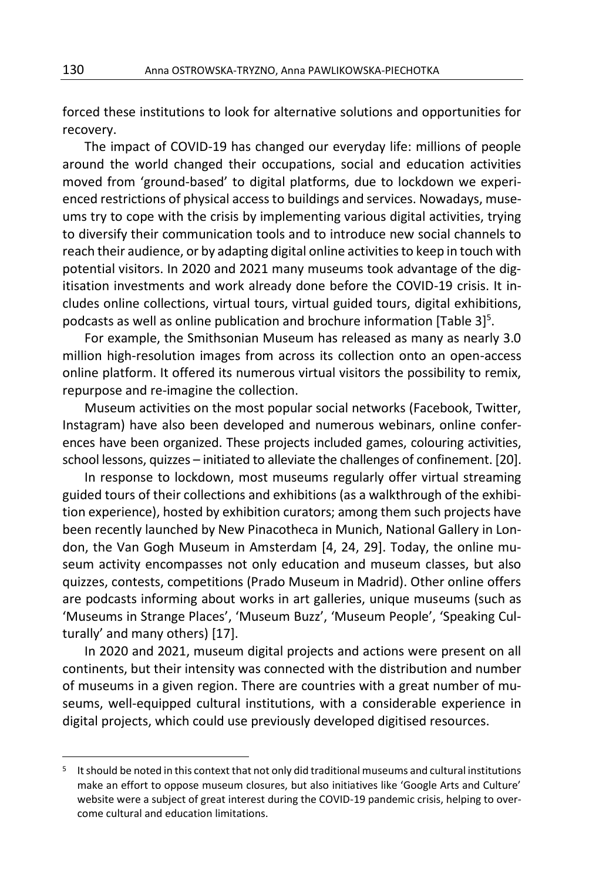forced these institutions to look for alternative solutions and opportunities for recovery.

The impact of COVID-19 has changed our everyday life: millions of people around the world changed their occupations, social and education activities moved from 'ground-based' to digital platforms, due to lockdown we experienced restrictions of physical access to buildings and services. Nowadays, museums try to cope with the crisis by implementing various digital activities, trying to diversify their communication tools and to introduce new social channels to reach their audience, or by adapting digital online activities to keep in touch with potential visitors. In 2020 and 2021 many museums took advantage of the digitisation investments and work already done before the COVID-19 crisis. It includes online collections, virtual tours, virtual guided tours, digital exhibitions, podcasts as well as online publication and brochure information [Table 3]<sup>5</sup>.

For example, the Smithsonian Museum has released as many as nearly 3.0 million high-resolution images from across its collection onto an open-access online platform. It offered its numerous virtual visitors the possibility to remix, repurpose and re-imagine the collection.

Museum activities on the most popular social networks (Facebook, Twitter, Instagram) have also been developed and numerous webinars, online conferences have been organized. These projects included games, colouring activities, school lessons, quizzes – initiated to alleviate the challenges of confinement. [20].

In response to lockdown, most museums regularly offer virtual streaming guided tours of their collections and exhibitions (as a walkthrough of the exhibition experience), hosted by exhibition curators; among them such projects have been recently launched by New Pinacotheca in Munich, National Gallery in London, the Van Gogh Museum in Amsterdam [4, 24, 29]. Today, the online museum activity encompasses not only education and museum classes, but also quizzes, contests, competitions (Prado Museum in Madrid). Other online offers are podcasts informing about works in art galleries, unique museums (such as 'Museums in Strange Places', 'Museum Buzz', 'Museum People', 'Speaking Culturally' and many others) [17].

In 2020 and 2021, museum digital projects and actions were present on all continents, but their intensity was connected with the distribution and number of museums in a given region. There are countries with a great number of museums, well-equipped cultural institutions, with a considerable experience in digital projects, which could use previously developed digitised resources.

<sup>&</sup>lt;sup>5</sup> It should be noted in this context that not only did traditional museums and cultural institutions make an effort to oppose museum closures, but also initiatives like 'Google Arts and Culture' website were a subject of great interest during the COVID-19 pandemic crisis, helping to overcome cultural and education limitations.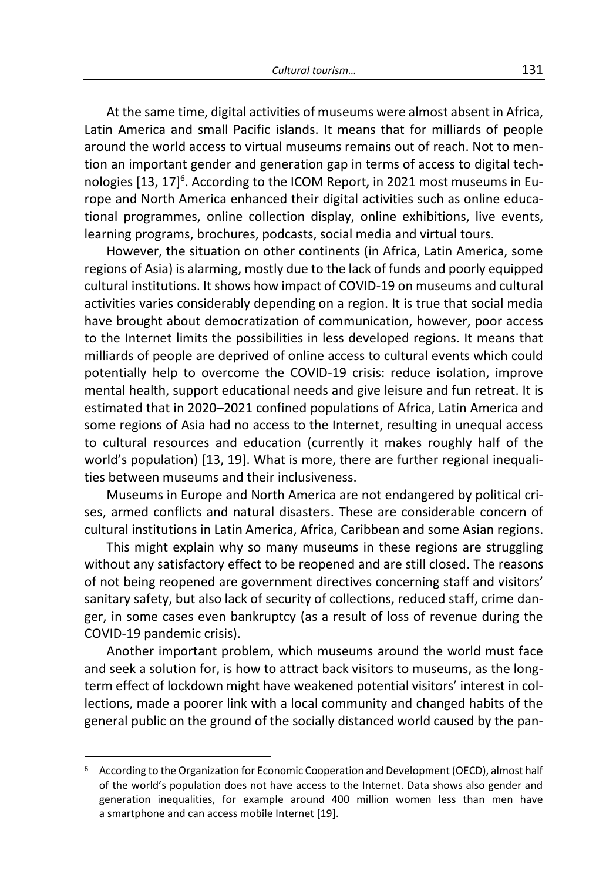At the same time, digital activities of museums were almost absent in Africa, Latin America and small Pacific islands. It means that for milliards of people around the world access to virtual museums remains out of reach. Not to mention an important gender and generation gap in terms of access to digital technologies [13, 17]<sup>6</sup>. According to the ICOM Report, in 2021 most museums in Europe and North America enhanced their digital activities such as online educational programmes, online collection display, online exhibitions, live events, learning programs, brochures, podcasts, social media and virtual tours.

However, the situation on other continents (in Africa, Latin America, some regions of Asia) is alarming, mostly due to the lack of funds and poorly equipped cultural institutions. It shows how impact of COVID-19 on museums and cultural activities varies considerably depending on a region. It is true that social media have brought about democratization of communication, however, poor access to the Internet limits the possibilities in less developed regions. It means that milliards of people are deprived of online access to cultural events which could potentially help to overcome the COVID-19 crisis: reduce isolation, improve mental health, support educational needs and give leisure and fun retreat. It is estimated that in 2020–2021 confined populations of Africa, Latin America and some regions of Asia had no access to the Internet, resulting in unequal access to cultural resources and education (currently it makes roughly half of the world's population) [13, 19]. What is more, there are further regional inequalities between museums and their inclusiveness.

Museums in Europe and North America are not endangered by political crises, armed conflicts and natural disasters. These are considerable concern of cultural institutions in Latin America, Africa, Caribbean and some Asian regions.

This might explain why so many museums in these regions are struggling without any satisfactory effect to be reopened and are still closed. The reasons of not being reopened are government directives concerning staff and visitors' sanitary safety, but also lack of security of collections, reduced staff, crime danger, in some cases even bankruptcy (as a result of loss of revenue during the COVID-19 pandemic crisis).

Another important problem, which museums around the world must face and seek a solution for, is how to attract back visitors to museums, as the longterm effect of lockdown might have weakened potential visitors' interest in collections, made a poorer link with a local community and changed habits of the general public on the ground of the socially distanced world caused by the pan-

 $6$  According to the Organization for Economic Cooperation and Development (OECD), almost half of the world's population does not have access to the Internet. Data shows also gender and generation inequalities, for example around 400 million women less than men have a smartphone and can access mobile Internet [19].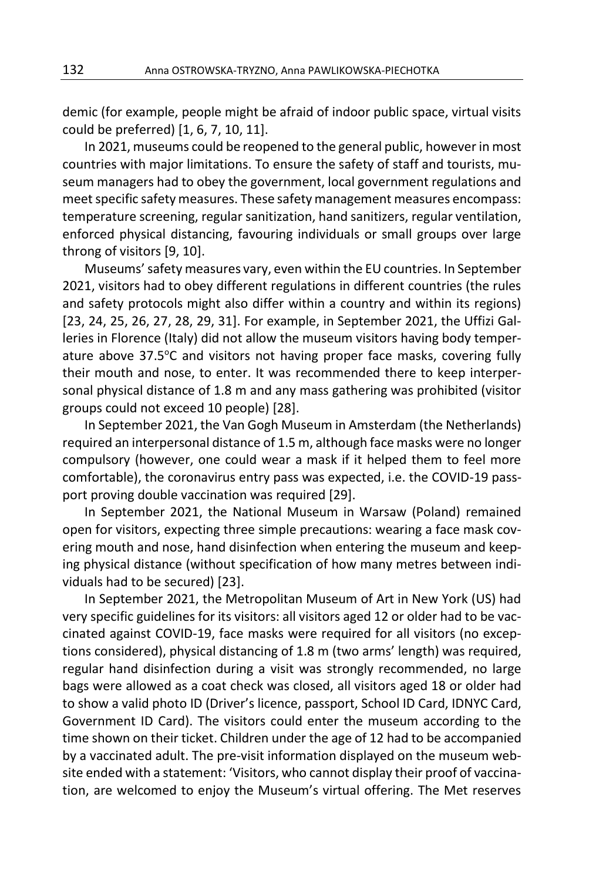demic (for example, people might be afraid of indoor public space, virtual visits could be preferred) [1, 6, 7, 10, 11].

In 2021, museums could be reopened to the general public, however in most countries with major limitations. To ensure the safety of staff and tourists, museum managers had to obey the government, local government regulations and meet specific safety measures. These safety management measures encompass: temperature screening, regular sanitization, hand sanitizers, regular ventilation, enforced physical distancing, favouring individuals or small groups over large throng of visitors [9, 10].

Museums' safety measures vary, even within the EU countries. In September 2021, visitors had to obey different regulations in different countries (the rules and safety protocols might also differ within a country and within its regions) [23, 24, 25, 26, 27, 28, 29, 31]. For example, in September 2021, the Uffizi Galleries in Florence (Italy) did not allow the museum visitors having body temperature above  $37.5^{\circ}$ C and visitors not having proper face masks, covering fully their mouth and nose, to enter. It was recommended there to keep interpersonal physical distance of 1.8 m and any mass gathering was prohibited (visitor groups could not exceed 10 people) [28].

In September 2021, the Van Gogh Museum in Amsterdam (the Netherlands) required an interpersonal distance of 1.5 m, although face masks were no longer compulsory (however, one could wear a mask if it helped them to feel more comfortable), the coronavirus entry pass was expected, i.e. the COVID-19 passport proving double vaccination was required [29].

In September 2021, the National Museum in Warsaw (Poland) remained open for visitors, expecting three simple precautions: wearing a face mask covering mouth and nose, hand disinfection when entering the museum and keeping physical distance (without specification of how many metres between individuals had to be secured) [23].

In September 2021, the Metropolitan Museum of Art in New York (US) had very specific guidelines for its visitors: all visitors aged 12 or older had to be vaccinated against COVID-19, face masks were required for all visitors (no exceptions considered), physical distancing of 1.8 m (two arms' length) was required, regular hand disinfection during a visit was strongly recommended, no large bags were allowed as a coat check was closed, all visitors aged 18 or older had to show a valid photo ID (Driver's licence, passport, School ID Card, IDNYC Card, Government ID Card). The visitors could enter the museum according to the time shown on their ticket. Children under the age of 12 had to be accompanied by a vaccinated adult. The pre-visit information displayed on the museum website ended with a statement: 'Visitors, who cannot display their proof of vaccination, are welcomed to enjoy the Museum's virtual offering. The Met reserves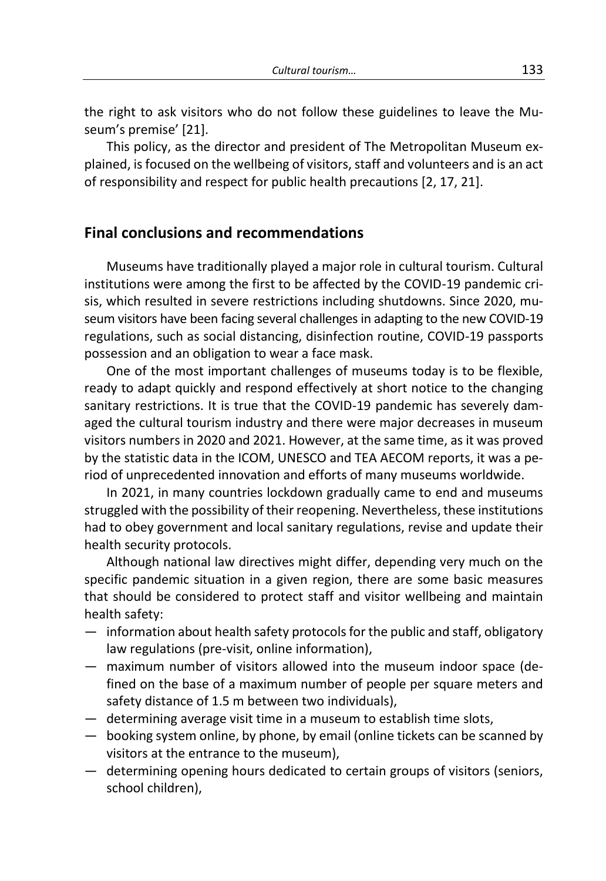the right to ask visitors who do not follow these guidelines to leave the Museum's premise' [21].

This policy, as the director and president of The Metropolitan Museum explained, is focused on the wellbeing of visitors, staff and volunteers and is an act of responsibility and respect for public health precautions [2, 17, 21].

## **Final conclusions and recommendations**

Museums have traditionally played a major role in cultural tourism. Cultural institutions were among the first to be affected by the COVID-19 pandemic crisis, which resulted in severe restrictions including shutdowns. Since 2020, museum visitors have been facing several challenges in adapting to the new COVID-19 regulations, such as social distancing, disinfection routine, COVID-19 passports possession and an obligation to wear a face mask.

One of the most important challenges of museums today is to be flexible, ready to adapt quickly and respond effectively at short notice to the changing sanitary restrictions. It is true that the COVID-19 pandemic has severely damaged the cultural tourism industry and there were major decreases in museum visitors numbers in 2020 and 2021. However, at the same time, as it was proved by the statistic data in the ICOM, UNESCO and TEA AECOM reports, it was a period of unprecedented innovation and efforts of many museums worldwide.

In 2021, in many countries lockdown gradually came to end and museums struggled with the possibility of their reopening. Nevertheless, these institutions had to obey government and local sanitary regulations, revise and update their health security protocols.

Although national law directives might differ, depending very much on the specific pandemic situation in a given region, there are some basic measures that should be considered to protect staff and visitor wellbeing and maintain health safety:

- information about health safety protocols for the public and staff, obligatory law regulations (pre-visit, online information),
- maximum number of visitors allowed into the museum indoor space (defined on the base of a maximum number of people per square meters and safety distance of 1.5 m between two individuals),
- determining average visit time in a museum to establish time slots,
- booking system online, by phone, by email (online tickets can be scanned by visitors at the entrance to the museum),
- determining opening hours dedicated to certain groups of visitors (seniors, school children),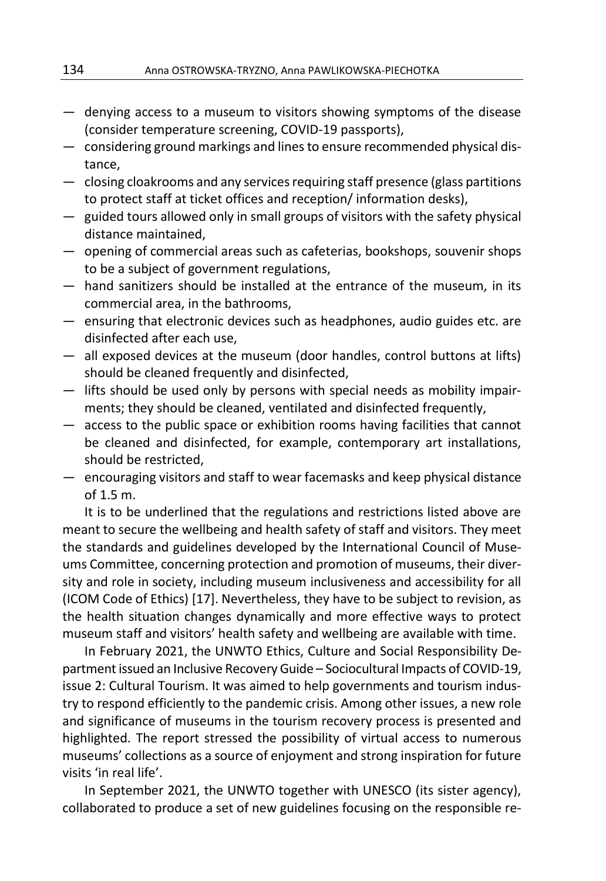- denying access to a museum to visitors showing symptoms of the disease (consider temperature screening, COVID-19 passports),
- considering ground markings and lines to ensure recommended physical distance,
- closing cloakrooms and any services requiring staff presence (glass partitions to protect staff at ticket offices and reception/ information desks),
- guided tours allowed only in small groups of visitors with the safety physical distance maintained,
- opening of commercial areas such as cafeterias, bookshops, souvenir shops to be a subject of government regulations,
- hand sanitizers should be installed at the entrance of the museum, in its commercial area, in the bathrooms,
- ensuring that electronic devices such as headphones, audio guides etc. are disinfected after each use,
- all exposed devices at the museum (door handles, control buttons at lifts) should be cleaned frequently and disinfected,
- lifts should be used only by persons with special needs as mobility impairments; they should be cleaned, ventilated and disinfected frequently,
- access to the public space or exhibition rooms having facilities that cannot be cleaned and disinfected, for example, contemporary art installations, should be restricted,
- encouraging visitors and staff to wear facemasks and keep physical distance of 1.5 m.

It is to be underlined that the regulations and restrictions listed above are meant to secure the wellbeing and health safety of staff and visitors. They meet the standards and guidelines developed by the International Council of Museums Committee, concerning protection and promotion of museums, their diversity and role in society, including museum inclusiveness and accessibility for all (ICOM Code of Ethics) [17]. Nevertheless, they have to be subject to revision, as the health situation changes dynamically and more effective ways to protect museum staff and visitors' health safety and wellbeing are available with time.

In February 2021, the UNWTO Ethics, Culture and Social Responsibility Department issued an Inclusive Recovery Guide – Sociocultural Impacts of COVID-19, issue 2: Cultural Tourism. It was aimed to help governments and tourism industry to respond efficiently to the pandemic crisis. Among other issues, a new role and significance of museums in the tourism recovery process is presented and highlighted. The report stressed the possibility of virtual access to numerous museums' collections as a source of enjoyment and strong inspiration for future visits 'in real life'.

In September 2021, the UNWTO together with UNESCO (its sister agency), collaborated to produce a set of new guidelines focusing on the responsible re-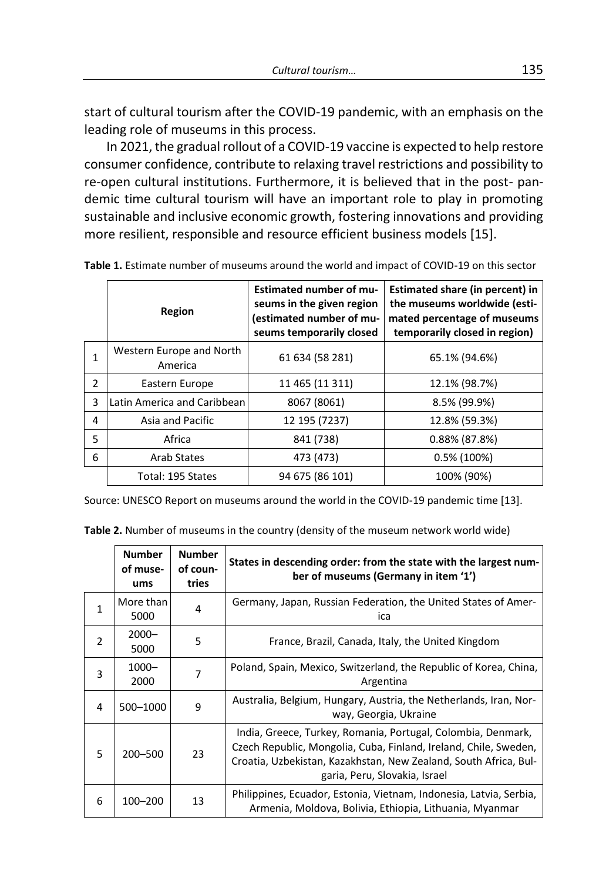start of cultural tourism after the COVID-19 pandemic, with an emphasis on the leading role of museums in this process.

In 2021, the gradual rollout of a COVID-19 vaccine is expected to help restore consumer confidence, contribute to relaxing travel restrictions and possibility to re-open cultural institutions. Furthermore, it is believed that in the post- pandemic time cultural tourism will have an important role to play in promoting sustainable and inclusive economic growth, fostering innovations and providing more resilient, responsible and resource efficient business models [15].

|               | Region                              | <b>Estimated number of mu-</b><br>seums in the given region<br>(estimated number of mu-<br>seums temporarily closed | Estimated share (in percent) in<br>the museums worldwide (esti-<br>mated percentage of museums<br>temporarily closed in region) |
|---------------|-------------------------------------|---------------------------------------------------------------------------------------------------------------------|---------------------------------------------------------------------------------------------------------------------------------|
|               | Western Europe and North<br>America | 61 634 (58 281)                                                                                                     | 65.1% (94.6%)                                                                                                                   |
| $\mathcal{P}$ | Eastern Europe                      | 11 465 (11 311)                                                                                                     | 12.1% (98.7%)                                                                                                                   |
| 3             | Latin America and Caribbean         | 8067 (8061)                                                                                                         | 8.5% (99.9%)                                                                                                                    |
| 4             | Asia and Pacific                    | 12 195 (7237)                                                                                                       | 12.8% (59.3%)                                                                                                                   |
| 5             | Africa                              | 841 (738)                                                                                                           | $0.88\%$ (87.8%)                                                                                                                |
| 6             | Arab States                         | 473 (473)                                                                                                           | $0.5\%$ (100%)                                                                                                                  |
|               | Total: 195 States                   | 94 675 (86 101)                                                                                                     | 100% (90%)                                                                                                                      |

**Table 1.** Estimate number of museums around the world and impact of COVID-19 on this sector

Source: UNESCO Report on museums around the world in the COVID-19 pandemic time [13].

**Table 2.** Number of museums in the country (density of the museum network world wide)

|               | <b>Number</b><br>of muse-<br>ums | <b>Number</b><br>of coun-<br>tries | States in descending order: from the state with the largest num-<br>ber of museums (Germany in item '1')                                                                                                                              |
|---------------|----------------------------------|------------------------------------|---------------------------------------------------------------------------------------------------------------------------------------------------------------------------------------------------------------------------------------|
| $\mathbf{1}$  | More than<br>5000                | 4                                  | Germany, Japan, Russian Federation, the United States of Amer-<br>ica                                                                                                                                                                 |
| $\mathcal{P}$ | $2000 -$<br>5000                 | 5                                  | France, Brazil, Canada, Italy, the United Kingdom                                                                                                                                                                                     |
| 3             | $1000 -$<br>2000                 | 7                                  | Poland, Spain, Mexico, Switzerland, the Republic of Korea, China,<br>Argentina                                                                                                                                                        |
| 4             | 500-1000                         | 9                                  | Australia, Belgium, Hungary, Austria, the Netherlands, Iran, Nor-<br>way, Georgia, Ukraine                                                                                                                                            |
| 5             | 200-500                          | 23                                 | India, Greece, Turkey, Romania, Portugal, Colombia, Denmark,<br>Czech Republic, Mongolia, Cuba, Finland, Ireland, Chile, Sweden,<br>Croatia, Uzbekistan, Kazakhstan, New Zealand, South Africa, Bul-<br>garia, Peru, Slovakia, Israel |
| 6             | 100-200                          | 13                                 | Philippines, Ecuador, Estonia, Vietnam, Indonesia, Latvia, Serbia,<br>Armenia, Moldova, Bolivia, Ethiopia, Lithuania, Myanmar                                                                                                         |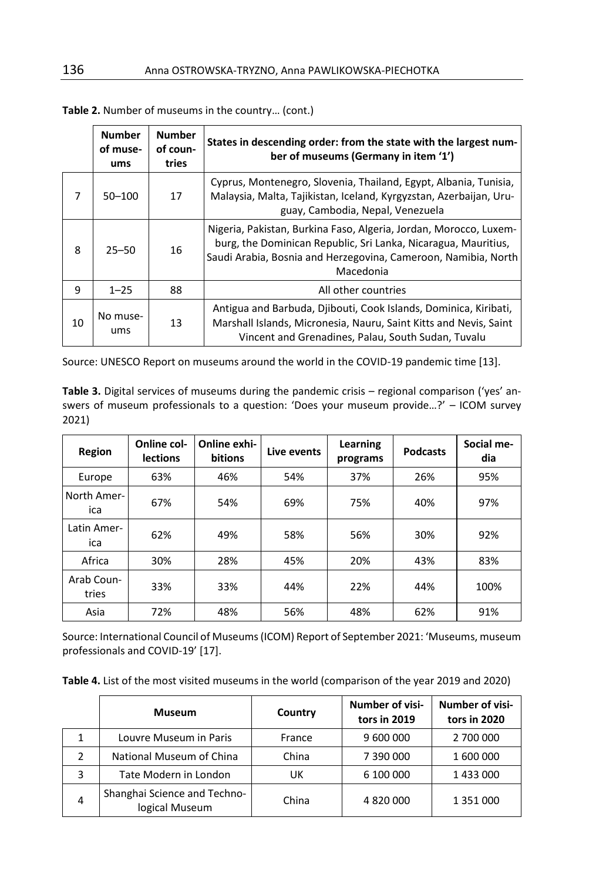|    | <b>Number</b><br>of muse-<br>ums | <b>Number</b><br>of coun-<br>tries | States in descending order: from the state with the largest num-<br>ber of museums (Germany in item '1')                                                                                                           |
|----|----------------------------------|------------------------------------|--------------------------------------------------------------------------------------------------------------------------------------------------------------------------------------------------------------------|
| 7  | $50 - 100$                       | 17                                 | Cyprus, Montenegro, Slovenia, Thailand, Egypt, Albania, Tunisia,<br>Malaysia, Malta, Tajikistan, Iceland, Kyrgyzstan, Azerbaijan, Uru-<br>guay, Cambodia, Nepal, Venezuela                                         |
| 8  | $25 - 50$                        | 16                                 | Nigeria, Pakistan, Burkina Faso, Algeria, Jordan, Morocco, Luxem-<br>burg, the Dominican Republic, Sri Lanka, Nicaragua, Mauritius,<br>Saudi Arabia, Bosnia and Herzegovina, Cameroon, Namibia, North<br>Macedonia |
| 9  | $1 - 25$                         | 88                                 | All other countries                                                                                                                                                                                                |
| 10 | No muse-<br>ums                  | 13                                 | Antigua and Barbuda, Djibouti, Cook Islands, Dominica, Kiribati,<br>Marshall Islands, Micronesia, Nauru, Saint Kitts and Nevis, Saint<br>Vincent and Grenadines, Palau, South Sudan, Tuvalu                        |

| Table 2. Number of museums in the country (cont.) |  |  |  |  |
|---------------------------------------------------|--|--|--|--|
|---------------------------------------------------|--|--|--|--|

Source: UNESCO Report on museums around the world in the COVID-19 pandemic time [13].

**Table 3.** Digital services of museums during the pandemic crisis – regional comparison ('yes' answers of museum professionals to a question: 'Does your museum provide…?' – ICOM survey 2021)

| Region              | Online col-<br><b>lections</b> | Online exhi-<br><b>bitions</b> | Live events | Learning<br>programs | <b>Podcasts</b> | Social me-<br>dia |
|---------------------|--------------------------------|--------------------------------|-------------|----------------------|-----------------|-------------------|
| Europe              | 63%                            | 46%                            | 54%         | 37%                  | 26%             | 95%               |
| North Amer-<br>ica  | 67%                            | 54%                            | 69%         | 75%                  | 40%             | 97%               |
| Latin Amer-<br>ica  | 62%                            | 49%                            | 58%         | 56%                  | 30%             | 92%               |
| Africa              | 30%                            | 28%                            | 45%         | 20%                  | 43%             | 83%               |
| Arab Coun-<br>tries | 33%                            | 33%                            | 44%         | 22%                  | 44%             | 100%              |
| Asia                | 72%                            | 48%                            | 56%         | 48%                  | 62%             | 91%               |

Source: International Council of Museums (ICOM) Report of September 2021: 'Museums, museum professionals and COVID-19' [17].

**Table 4.** List of the most visited museums in the world (comparison of the year 2019 and 2020)

|   | <b>Museum</b>                                  | Country | <b>Number of visi-</b><br>tors in 2019 | <b>Number of visi-</b><br>tors in 2020 |
|---|------------------------------------------------|---------|----------------------------------------|----------------------------------------|
|   | Louvre Museum in Paris                         | France  | 9 600 000                              | 2 700 000                              |
|   | National Museum of China                       | China   | 7 390 000                              | 1 600 000                              |
| 3 | Tate Modern in London                          | UK      | 6 100 000                              | 1 433 000                              |
| 4 | Shanghai Science and Techno-<br>logical Museum | China   | 4 820 000                              | 1 351 000                              |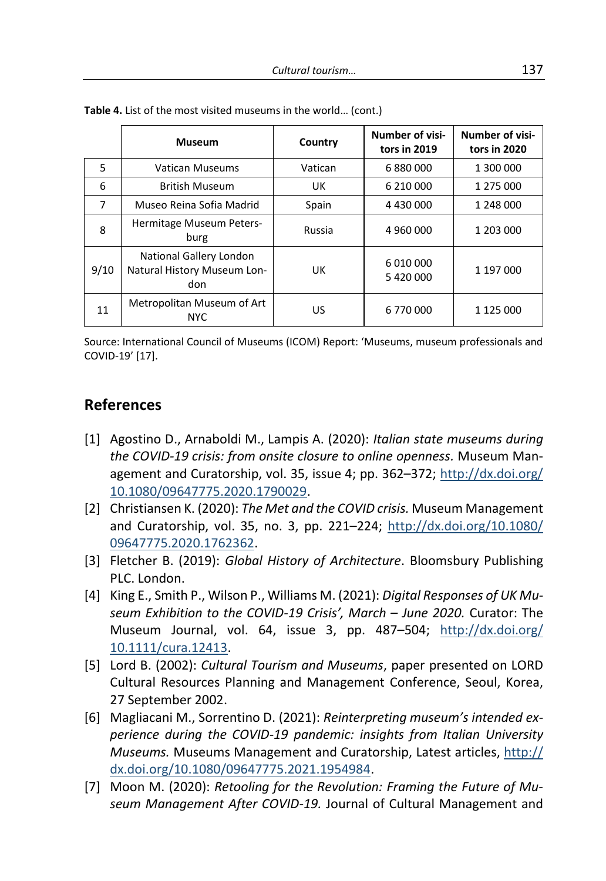|      | <b>Museum</b>                                                 | Country | <b>Number of visi-</b><br>tors in 2019 | Number of visi-<br>tors in 2020 |
|------|---------------------------------------------------------------|---------|----------------------------------------|---------------------------------|
| 5    | Vatican Museums                                               | Vatican | 6880000                                | 1 300 000                       |
| 6    | <b>British Museum</b>                                         | UK      | 6 210 000                              | 1 275 000                       |
| 7    | Museo Reina Sofia Madrid                                      | Spain   | 4 430 000                              | 1 248 000                       |
| 8    | Hermitage Museum Peters-<br>burg                              | Russia  | 4 960 000                              | 1 203 000                       |
| 9/10 | National Gallery London<br>Natural History Museum Lon-<br>don | UK      | 6 010 000<br>5 420 000                 | 1 197 000                       |
| 11   | Metropolitan Museum of Art<br><b>NYC</b>                      | US      | 6 770 000                              | 1 125 000                       |

**Table 4.** List of the most visited museums in the world… (cont.)

Source: International Council of Museums (ICOM) Report: 'Museums, museum professionals and COVID-19' [17].

## **References**

- [1] Agostino D., Arnaboldi M., Lampis A. (2020): *Italian state museums during the COVID-19 crisis: from onsite closure to online openness.* Museum Management and Curatorship, vol. 35, issue 4; pp. 362–372; [http://dx.doi.org/](http://dx.doi.org/10.1080/09647775.2020.1790029) [10.1080/09647775.2020.1790029.](http://dx.doi.org/10.1080/09647775.2020.1790029)
- [2] Christiansen K. (2020): *The Met and the COVID crisis.* Museum Management and Curatorship, vol. 35, no. 3, pp. 221–224; [http://dx.doi.org/10.1080/](http://dx.doi.org/10.1080/09647775.2020.1762362) [09647775.2020.1762362.](http://dx.doi.org/10.1080/09647775.2020.1762362)
- [3] Fletcher B. (2019): *Global History of Architecture*. Bloomsbury Publishing PLC. London.
- [4] King E., Smith P., Wilson P., Williams M. (2021): *Digital Responses of UK Museum Exhibition to the COVID-19 Crisis', March – June 2020.* Curator: The Museum Journal, vol. 64, issue 3, pp. 487–504; [http://dx.doi.org/](http://dx.doi.org/10.1111/cura.12413) [10.1111/cura.12413.](http://dx.doi.org/10.1111/cura.12413)
- [5] Lord B. (2002): *Cultural Tourism and Museums*, paper presented on LORD Cultural Resources Planning and Management Conference, Seoul, Korea, 27 September 2002.
- [6] Magliacani M., Sorrentino D. (2021): *Reinterpreting museum's intended experience during the COVID-19 pandemic: insights from Italian University Museums.* Museums Management and Curatorship, Latest articles, [http://](http://dx.doi.org/10.1080/09647775.2021.1954984) [dx.doi.org/10.1080/09647775.2021.1954984.](http://dx.doi.org/10.1080/09647775.2021.1954984)
- [7] Moon M. (2020): *Retooling for the Revolution: Framing the Future of Museum Management After COVID-19.* Journal of Cultural Management and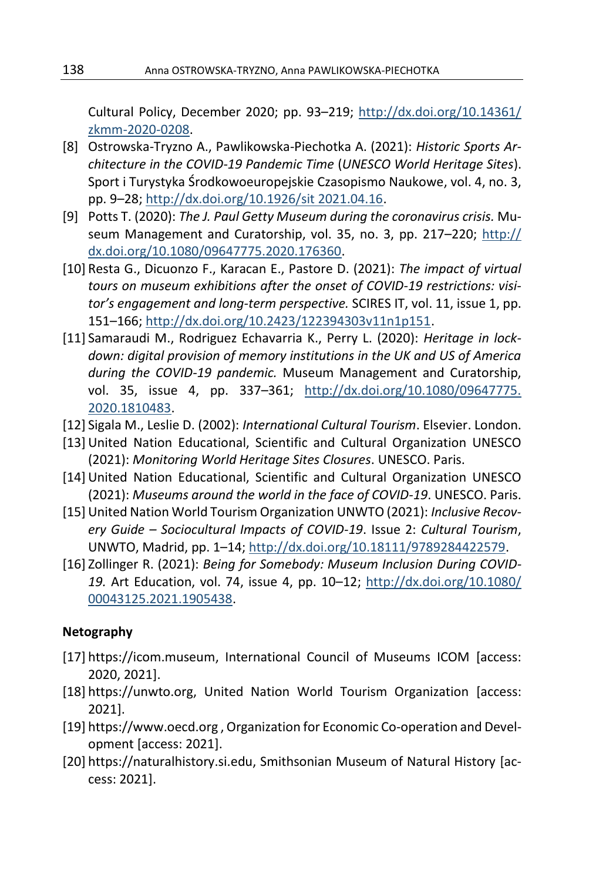Cultural Policy, December 2020; pp. 93–219; [http://dx.doi.org/10.14361/](http://dx.doi.org/10.14361/zkmm-2020-0208) [zkmm-2020-0208.](http://dx.doi.org/10.14361/zkmm-2020-0208)

- [8] Ostrowska-Tryzno A., Pawlikowska-Piechotka A. (2021): *Historic Sports Architecture in the COVID-19 Pandemic Time* (*UNESCO World Heritage Sites*). Sport i Turystyka Środkowoeuropejskie Czasopismo Naukowe, vol. 4, no. 3, pp. 9–28; [http://dx.doi.org/10.1926/sit 2021.04.16.](http://dx.doi.org/10.1926/sit%202021.04.16)
- [9] Potts T. (2020): *The J. Paul Getty Museum during the coronavirus crisis.* Museum Management and Curatorship, vol. 35, no. 3, pp. 217–220; [http://](http://dx.doi.org/10.1080/09647775.2020.176360) [dx.doi.org/10.1080/09647775.2020.176360.](http://dx.doi.org/10.1080/09647775.2020.176360)
- [10] Resta G., Dicuonzo F., Karacan E., Pastore D. (2021): *The impact of virtual tours on museum exhibitions after the onset of COVID-19 restrictions: visitor's engagement and long-term perspective.* SCIRES IT, vol. 11, issue 1, pp. 151–166[; http://dx.doi.org/10.2423/122394303v11n1p151.](http://dx.doi.org/10.2423/122394303v11n1p151)
- [11] Samaraudi M., Rodriguez Echavarria K., Perry L. (2020): *Heritage in lockdown: digital provision of memory institutions in the UK and US of America during the COVID-19 pandemic.* Museum Management and Curatorship, vol. 35, issue 4, pp. 337–361; [http://dx.doi.org/10.1080/09647775.](http://dx.doi.org/10.1080/09647775.2020.1810483) [2020.1810483.](http://dx.doi.org/10.1080/09647775.2020.1810483)
- [12] Sigala M., Leslie D. (2002): *International Cultural Tourism*. Elsevier. London.
- [13] United Nation Educational, Scientific and Cultural Organization UNESCO (2021): *Monitoring World Heritage Sites Closures*. UNESCO. Paris.
- [14] United Nation Educational, Scientific and Cultural Organization UNESCO (2021): *Museums around the world in the face of COVID-19*. UNESCO. Paris.
- [15] United Nation World Tourism Organization UNWTO (2021): *Inclusive Recovery Guide – Sociocultural Impacts of COVID-19*. Issue 2: *Cultural Tourism*, UNWTO, Madrid, pp. 1–14; [http://dx.doi.org/10.18111/9789284422579.](http://dx.doi.org/10.18111/9789284422579)
- [16] Zollinger R. (2021): *Being for Somebody: Museum Inclusion During COVID-19.* Art Education, vol. 74, issue 4, pp. 10–12; [http://dx.doi.org/10.1080/](http://dx.doi.org/10.1080/00043125.2021.1905438) [00043125.2021.1905438.](http://dx.doi.org/10.1080/00043125.2021.1905438)

#### **Netography**

- [17] https://icom.museum, International Council of Museums ICOM [access: 2020, 2021].
- [18] https://unwto.org, United Nation World Tourism Organization [access: 2021].
- [19] https://www.oecd.org , Organization for Economic Co-operation and Development [access: 2021].
- [20] https://naturalhistory.si.edu, Smithsonian Museum of Natural History [access: 2021].